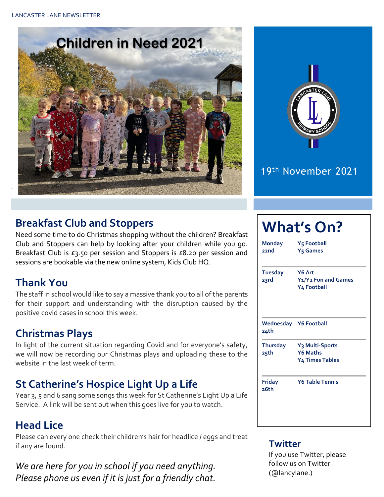



#### 19th November 2021

#### **Breakfast Club and Stoppers**

Need some time to do Christmas shopping without the children? Breakfast Club and Stoppers can help by looking after your children while you go. Breakfast Club is £3.50 per session and Stoppers is £8.20 per session and sessions are bookable via the new online system, Kids Club HQ.

### **Thank You**

The staff in school would like to say a massive thank you to all of the parents for their support and understanding with the disruption caused by the positive covid cases in school this week.

#### **Christmas Plays**

In light of the current situation regarding Covid and for everyone's safety, we will now be recording our Christmas plays and uploading these to the website in the last week of term.

### **St Catherine's Hospice Light Up a Life**

Year 3, 5 and 6 sang some songs this week for St Catherine's Light Up a Life Service. A link will be sent out when this goes live for you to watch.

#### **Head Lice**

Please can every one check their children's hair for headlice / eggs and treat if any are found.

*We are here for you in school if you need anything. Please phone us even if it is just for a friendly chat.* 

# **What's On?**

**Monday Y5 Football 22nd Y5 Games Tuesday Y6 Art 23rd Y1/Y2 Fun and Games Y4 Football Wednesday Y6 Football 24th Thursday Y3 Multi-Sports 25th Y6 Maths Y4 Times Tables Friday Y6 Table Tennis 26th**

#### **Twitter**

If you use Twitter, please follow us on Twitter (@lancylane.)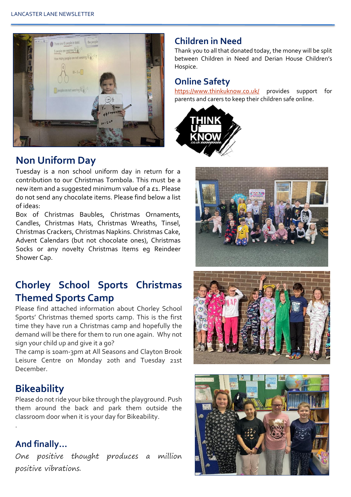

#### **Non Uniform Day**

Tuesday is a non school uniform day in return for a contribution to our Christmas Tombola. This must be a new item and a suggested minimum value of a £1. Please do not send any chocolate items. Please find below a list of ideas:

Box of Christmas Baubles, Christmas Ornaments, Candles, Christmas Hats, Christmas Wreaths, Tinsel, Christmas Crackers, Christmas Napkins. Christmas Cake, Advent Calendars (but not chocolate ones), Christmas Socks or any novelty Christmas Items eg Reindeer Shower Cap.

## **Chorley School Sports Christmas Themed Sports Camp**

Please find attached information about Chorley School Sports' Christmas themed sports camp. This is the first time they have run a Christmas camp and hopefully the demand will be there for them to run one again. Why not sign your child up and give it a go?

The camp is 10am-3pm at All Seasons and Clayton Brook Leisure Centre on Monday 20th and Tuesday 21st December.

#### **Bikeability**

Please do not ride your bike through the playground. Push them around the back and park them outside the classroom door when it is your day for Bikeability.

#### **And finally…**

.

One positive thought produces a million positive vibrations.

#### **Children in Need**

Thank you to all that donated today, the money will be split between Children in Need and Derian House Children's Hospice.

#### **Online Safety**

<https://www.thinkuknow.co.uk/> provides support for parents and carers to keep their children safe online.